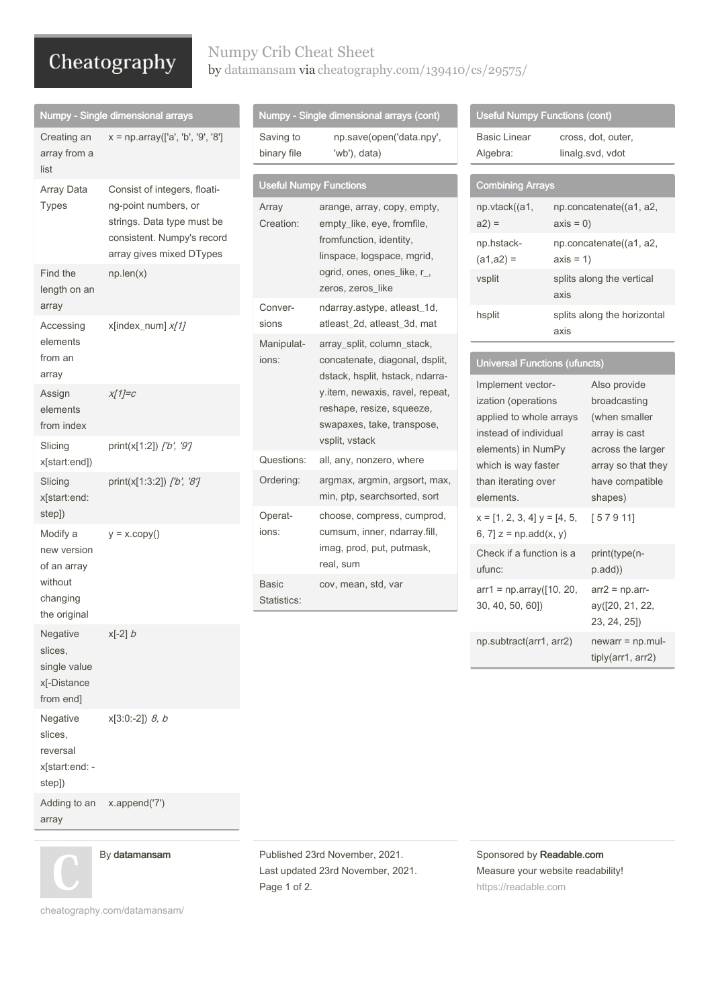## Cheatography

### Numpy Crib Cheat Sheet by [datamansam](http://www.cheatography.com/datamansam/) via [cheatography.com/139410/cs/29575/](http://www.cheatography.com/datamansam/cheat-sheets/numpy-crib)

np.save(open('data.npy',

arange, array, copy, empty, empty\_like, eye, fromfile, fromfunction, identity, linspace, logspace, mgrid, ogrid, ones, ones\_like, r\_,

ndarray.astype, atleast\_1d, atleast\_2d, atleast\_3d, mat

array\_split, column\_stack, concatenate, diagonal, dsplit, dstack, hsplit, hstack, ndarra‐ y.item, newaxis, ravel, repeat, reshape, resize, squeeze, swapaxes, take, transpose,

min, ptp, searchsorted, sort

choose, compress, cumprod, cumsum, inner, ndarray.fill, imag, prod, put, putmask,

Numpy - Single dimensional arrays (cont)

'wb'), data)

zeros, zeros\_like

vsplit, vstack Questions: all, any, nonzero, where Ordering: argmax, argmin, argsort, max,

real, sum

cov, mean, std, var

Saving to binary file

Array Creation:

Conver‐ sions

Manipulat‐ ions:

Operat‐ ions:

Basic Statistics:

Useful Numpy Functions

|                                                                               | Numpy - Single dimensional arrays                                                                                                            |
|-------------------------------------------------------------------------------|----------------------------------------------------------------------------------------------------------------------------------------------|
| Creating an<br>array from a<br>list                                           | x = np.array(['a', 'b', '9', '8']                                                                                                            |
| Array Data<br>Types                                                           | Consist of integers, floati-<br>ng-point numbers, or<br>strings. Data type must be<br>consistent. Numpy's record<br>array gives mixed DTypes |
| Find the<br>length on an<br>array                                             | np.length(x)                                                                                                                                 |
| Accessing<br>elements<br>from an<br>array                                     | x[index_num] x[1]                                                                                                                            |
| Assign<br>elements<br>from index                                              | $x[1]=c$                                                                                                                                     |
| Slicing<br>x[start:end])                                                      | print(x[1:2]) ['b', '9']                                                                                                                     |
| Slicing<br>x[start:end:<br>step])                                             | print(x[1:3:2]) ['b', '8']                                                                                                                   |
| Modify a<br>new version<br>of an array<br>without<br>changing<br>the original | $y = x.copy()$                                                                                                                               |
| Negative<br>slices,<br>single value<br>x[-Distance<br>from end]               | $x[-2]$ $b$                                                                                                                                  |
| Negative<br>slices,<br>reversal<br>x[start:end: -<br>step])                   | $x[3:0:-2])$ 8, b                                                                                                                            |
| Adding to an x.append('7')<br>array                                           |                                                                                                                                              |



By datamansam

[cheatography.com/datamansam/](http://www.cheatography.com/datamansam/)

Published 23rd November, 2021. Last updated 23rd November, 2021. Page 1 of 2.

#### Sponsored by Readable.com Measure your website readability! <https://readable.com>

| <b>Universal Functions (ufuncts)</b> |                    |
|--------------------------------------|--------------------|
| Implement vector-                    | Also provide       |
| ization (operations                  | broadcasting       |
| applied to whole arrays              | (when smaller      |
| instead of individual                | array is cast      |
| elements) in NumPy                   | across the larger  |
| which is way faster                  | array so that they |
| than iterating over                  | have compatible    |
| elements.                            | shapes)            |
| $x = [1, 2, 3, 4]$ y = [4, 5,        | [57911]            |
| 6, 7] $z = np.add(x, y)$             |                    |
| Check if a function is a             | print(type(n-      |
| ufunc:                               | p.add))            |
| $arr1 = np.array([10, 20,$           | $arr2 = np.array$  |
| 30, 40, 50, 60])                     | ay([20, 21, 22,    |
|                                      | 23, 24, 25])       |

np.subtract(arr1, arr2) newarr = np.multiply(arr1, arr2)

|                                      | axis                                |
|--------------------------------------|-------------------------------------|
| hsplit                               | splits along the horizontal<br>axis |
|                                      |                                     |
| <b>Universal Functions (ufuncts)</b> |                                     |
|                                      |                                     |

| <b>Useful Numpy Functions (cont)</b> |                    |  |
|--------------------------------------|--------------------|--|
| Basic Linear                         | cross, dot, outer, |  |
| Algebra:                             | linalg.svd, vdot   |  |
|                                      |                    |  |
| <b>Combining Arrays</b>              |                    |  |

 $axis = 0$ 

 $axis = 1$ vsplit splits along the vertical

np.concatenate((a1, a2,

np.concatenate((a1, a2,

np.vtack((a1, a2) =

np.hstack‐  $(a1, a2) =$